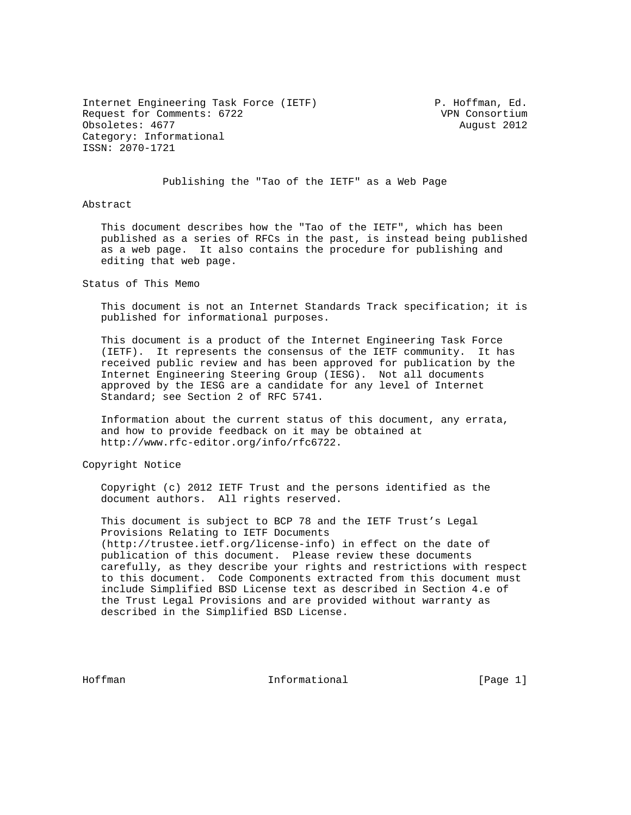Internet Engineering Task Force (IETF) P. Hoffman, Ed. Request for Comments: 6722 VPN Consortium Obsoletes: 4677 August 2012 Category: Informational ISSN: 2070-1721

## Publishing the "Tao of the IETF" as a Web Page

Abstract

 This document describes how the "Tao of the IETF", which has been published as a series of RFCs in the past, is instead being published as a web page. It also contains the procedure for publishing and editing that web page.

Status of This Memo

 This document is not an Internet Standards Track specification; it is published for informational purposes.

 This document is a product of the Internet Engineering Task Force (IETF). It represents the consensus of the IETF community. It has received public review and has been approved for publication by the Internet Engineering Steering Group (IESG). Not all documents approved by the IESG are a candidate for any level of Internet Standard; see Section 2 of RFC 5741.

 Information about the current status of this document, any errata, and how to provide feedback on it may be obtained at http://www.rfc-editor.org/info/rfc6722.

Copyright Notice

 Copyright (c) 2012 IETF Trust and the persons identified as the document authors. All rights reserved.

 This document is subject to BCP 78 and the IETF Trust's Legal Provisions Relating to IETF Documents (http://trustee.ietf.org/license-info) in effect on the date of publication of this document. Please review these documents carefully, as they describe your rights and restrictions with respect to this document. Code Components extracted from this document must include Simplified BSD License text as described in Section 4.e of the Trust Legal Provisions and are provided without warranty as described in the Simplified BSD License.

Hoffman Informational [Page 1]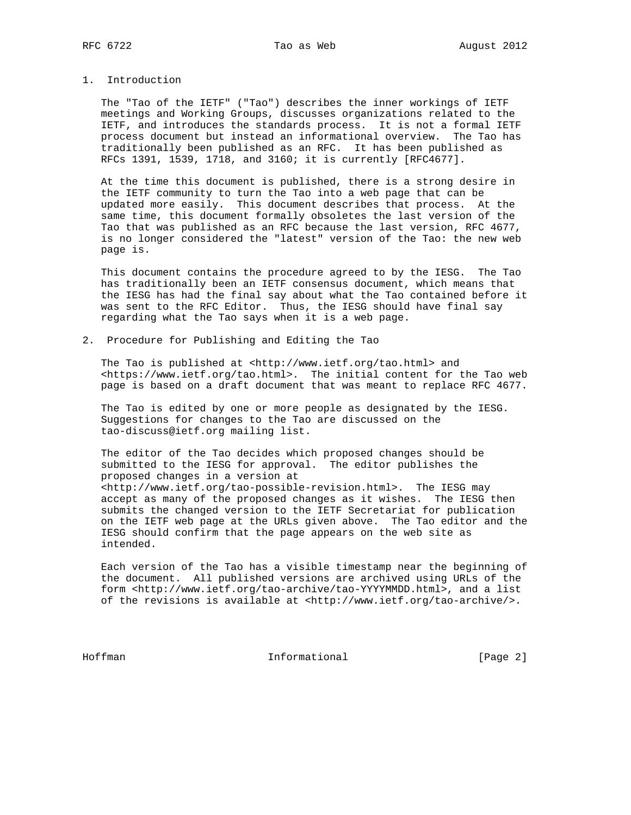## 1. Introduction

 The "Tao of the IETF" ("Tao") describes the inner workings of IETF meetings and Working Groups, discusses organizations related to the IETF, and introduces the standards process. It is not a formal IETF process document but instead an informational overview. The Tao has traditionally been published as an RFC. It has been published as RFCs 1391, 1539, 1718, and 3160; it is currently [RFC4677].

 At the time this document is published, there is a strong desire in the IETF community to turn the Tao into a web page that can be updated more easily. This document describes that process. At the same time, this document formally obsoletes the last version of the Tao that was published as an RFC because the last version, RFC 4677, is no longer considered the "latest" version of the Tao: the new web page is.

 This document contains the procedure agreed to by the IESG. The Tao has traditionally been an IETF consensus document, which means that the IESG has had the final say about what the Tao contained before it was sent to the RFC Editor. Thus, the IESG should have final say regarding what the Tao says when it is a web page.

2. Procedure for Publishing and Editing the Tao

 The Tao is published at <http://www.ietf.org/tao.html> and <https://www.ietf.org/tao.html>. The initial content for the Tao web page is based on a draft document that was meant to replace RFC 4677.

 The Tao is edited by one or more people as designated by the IESG. Suggestions for changes to the Tao are discussed on the tao-discuss@ietf.org mailing list.

 The editor of the Tao decides which proposed changes should be submitted to the IESG for approval. The editor publishes the proposed changes in a version at <http://www.ietf.org/tao-possible-revision.html>. The IESG may accept as many of the proposed changes as it wishes. The IESG then submits the changed version to the IETF Secretariat for publication on the IETF web page at the URLs given above. The Tao editor and the IESG should confirm that the page appears on the web site as intended.

 Each version of the Tao has a visible timestamp near the beginning of the document. All published versions are archived using URLs of the form <http://www.ietf.org/tao-archive/tao-YYYYMMDD.html>, and a list of the revisions is available at <http://www.ietf.org/tao-archive/>.

Hoffman Informational [Page 2]